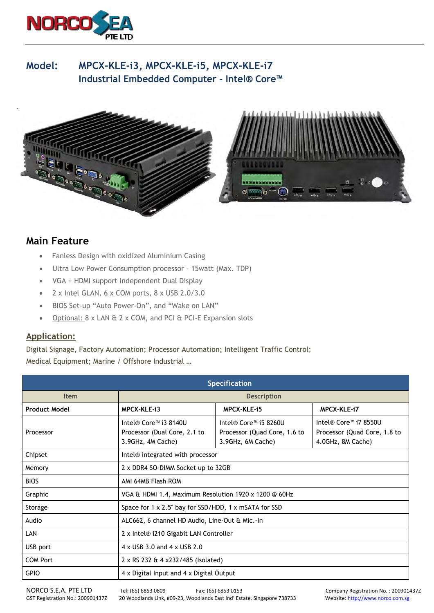

## **Model: MPCX-KLE-i3, MPCX-KLE-i5, MPCX-KLE-i7 Industrial Embedded Computer - Intel® Core™**



## **Main Feature**

- Fanless Design with oxidized Aluminium Casing
- Ultra Low Power Consumption processor 15watt (Max. TDP)
- VGA + HDMI support Independent Dual Display
- $\bullet$  2 x Intel GLAN, 6 x COM ports, 8 x USB 2.0/3.0
- BIOS Set-up "Auto Power-On", and "Wake on LAN"
- Optional: 8 x LAN & 2 x COM, and PCI & PCI-E Expansion slots

## **Application:**

Digital Signage, Factory Automation; Processor Automation; Intelligent Traffic Control; Medical Equipment; Marine / Offshore Industrial …

| <b>Specification</b> |                                                                            |                                                                                                     |                                                                            |
|----------------------|----------------------------------------------------------------------------|-----------------------------------------------------------------------------------------------------|----------------------------------------------------------------------------|
| <b>Item</b>          | <b>Description</b>                                                         |                                                                                                     |                                                                            |
| <b>Product Model</b> | MPCX-KLE-13                                                                | MPCX-KLE-15                                                                                         | MPCX-KLE-i7                                                                |
| Processor            | Intel® Core™ i3 8140U<br>Processor (Dual Core, 2.1 to<br>3.9GHz, 4M Cache) | Intel® Core <sup><math>m</math></sup> i5 8260U<br>Processor (Quad Core, 1.6 to<br>3.9GHz, 6M Cache) | Intel® Core™ i7 8550U<br>Processor (Quad Core, 1.8 to<br>4.0GHz, 8M Cache) |
| Chipset              | Intel® integrated with processor                                           |                                                                                                     |                                                                            |
| Memory               | 2 x DDR4 SO-DIMM Socket up to 32GB                                         |                                                                                                     |                                                                            |
| <b>BIOS</b>          | AMI 64MB Flash ROM                                                         |                                                                                                     |                                                                            |
| Graphic              | VGA & HDMI 1.4, Maximum Resolution 1920 x 1200 $\odot$ 60Hz                |                                                                                                     |                                                                            |
| Storage              | Space for 1 x 2.5" bay for SSD/HDD, 1 x mSATA for SSD                      |                                                                                                     |                                                                            |
| Audio                | ALC662, 6 channel HD Audio, Line-Out & Mic.-In                             |                                                                                                     |                                                                            |
| LAN                  | 2 x Intel® i210 Gigabit LAN Controller                                     |                                                                                                     |                                                                            |
| USB port             | 4 x USB 3.0 and 4 x USB 2.0                                                |                                                                                                     |                                                                            |
| <b>COM Port</b>      | 2 x RS 232 & 4 x232/485 (Isolated)                                         |                                                                                                     |                                                                            |
| <b>GPIO</b>          | 4 x Digital Input and 4 x Digital Output                                   |                                                                                                     |                                                                            |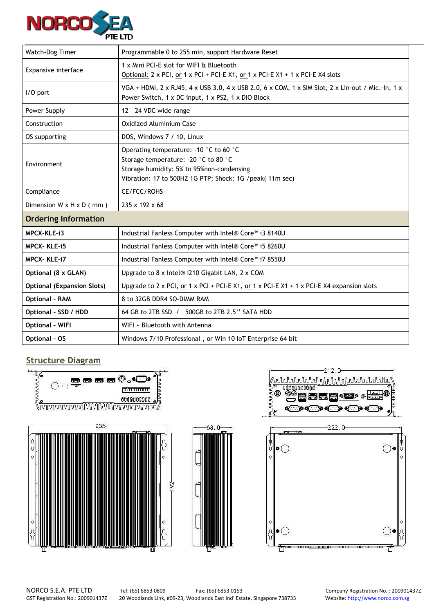

| Watch-Dog Timer                      | Programmable 0 to 255 min, support Hardware Reset                                                                                                                                                         |  |  |
|--------------------------------------|-----------------------------------------------------------------------------------------------------------------------------------------------------------------------------------------------------------|--|--|
| Expansive interface                  | 1 x Mini PCI-E slot for WIFI & Bluetooth<br>Optional: 2 x PCI, or 1 x PCI + PCI-E X1, or 1 x PCI-E X1 + 1 x PCI-E X4 slots                                                                                |  |  |
| I/O port                             | VGA + HDMI, $2 \times R$ J45, $4 \times$ USB 3.0, $4 \times$ USB 2.0, $6 \times$ COM, $1 \times$ SIM Slot, $2 \times$ Lin-out / Mic.-In, $1 \times$<br>Power Switch, 1 x DC input, 1 x PS2, 1 x DIO Block |  |  |
| Power Supply                         | 12 - 24 VDC wide range                                                                                                                                                                                    |  |  |
| Construction                         | Oxidized Aluminium Case                                                                                                                                                                                   |  |  |
| OS supporting                        | DOS, Windows 7 / 10, Linux                                                                                                                                                                                |  |  |
| Environment                          | Operating temperature: -10 °C to 60 °C<br>Storage temperature: - 20 °C to 80 °C<br>Storage humidity: 5% to 95%non-condensing<br>Vibration: 17 to 500HZ 1G PTP; Shock: 1G /peak( 11m sec)                  |  |  |
| Compliance                           | CE/FCC/ROHS                                                                                                                                                                                               |  |  |
| Dimension $W \times H \times D$ (mm) | 235 x 192 x 68                                                                                                                                                                                            |  |  |
| <b>Ordering Information</b>          |                                                                                                                                                                                                           |  |  |
| MPCX-KLE-i3                          | Industrial Fanless Computer with Intel® Core <sup>™</sup> i3 8140U                                                                                                                                        |  |  |
| <b>MPCX-KLE-15</b>                   | Industrial Fanless Computer with Intel® Core™ i5 8260U                                                                                                                                                    |  |  |
| <b>MPCX-KLE-i7</b>                   | Industrial Fanless Computer with Intel® Core <sup>™</sup> i7 8550U                                                                                                                                        |  |  |
| Optional (8 x GLAN)                  | Upgrade to 8 x Intel® i210 Gigabit LAN, 2 x COM                                                                                                                                                           |  |  |
| <b>Optional (Expansion Slots)</b>    | Upgrade to 2 x PCI, or 1 x PCI + PCI-E X1, or 1 x PCI-E X1 + 1 x PCI-E X4 expansion slots                                                                                                                 |  |  |
| <b>Optional - RAM</b>                | 8 to 32GB DDR4 SO-DIMM RAM                                                                                                                                                                                |  |  |
| Optional - SSD / HDD                 | 64 GB to 2TB SSD / 500GB to 2TB 2.5" SATA HDD                                                                                                                                                             |  |  |
| <b>Optional - WIFI</b>               | WIFI + Bluetooth with Antenna                                                                                                                                                                             |  |  |
| <b>Optional - OS</b>                 | Windows 7/10 Professional, or Win 10 IoT Enterprise 64 bit                                                                                                                                                |  |  |

## **Structure Diagram**